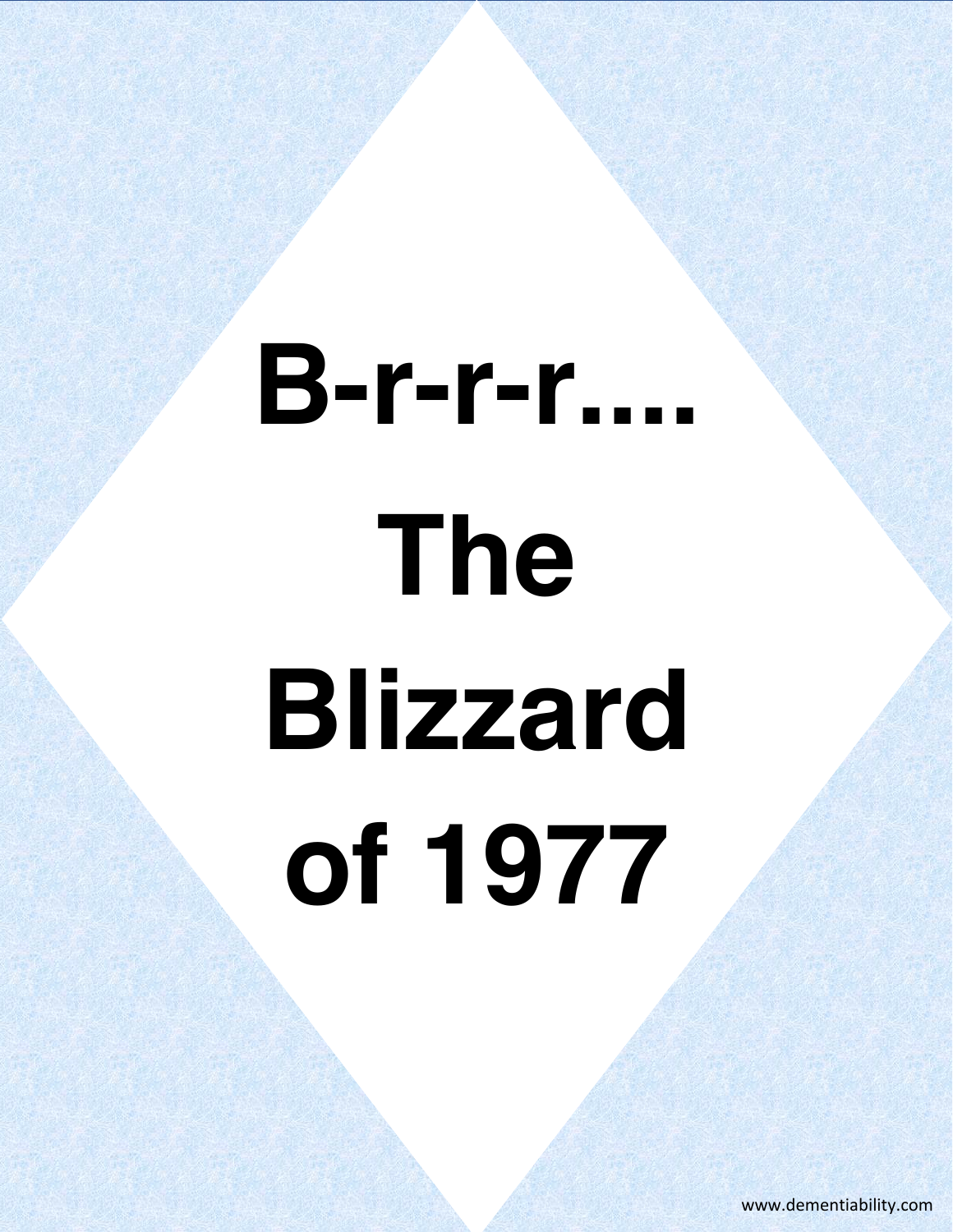# **B-r-r-r.... The Blizzard of 1977**

www.dementiability.com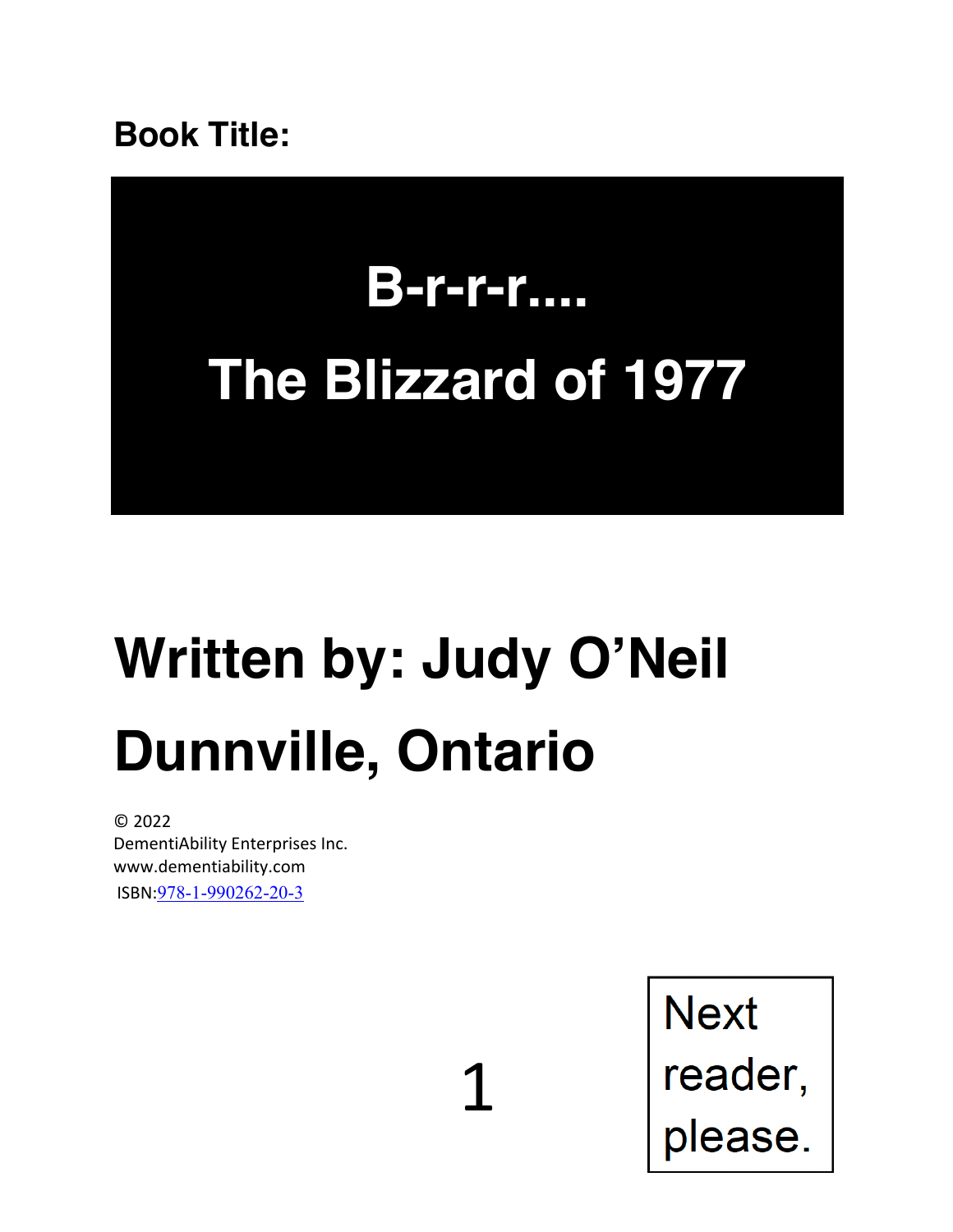**Book Title:**

# **B-r-r-r.... The Blizzard of 1977**

### **Written by: Judy O'Neil Dunnville, Ontario**

1

© 2022 DementiAbility Enterprises Inc. www.dementiability.com ISBN:978-1-990262-20-3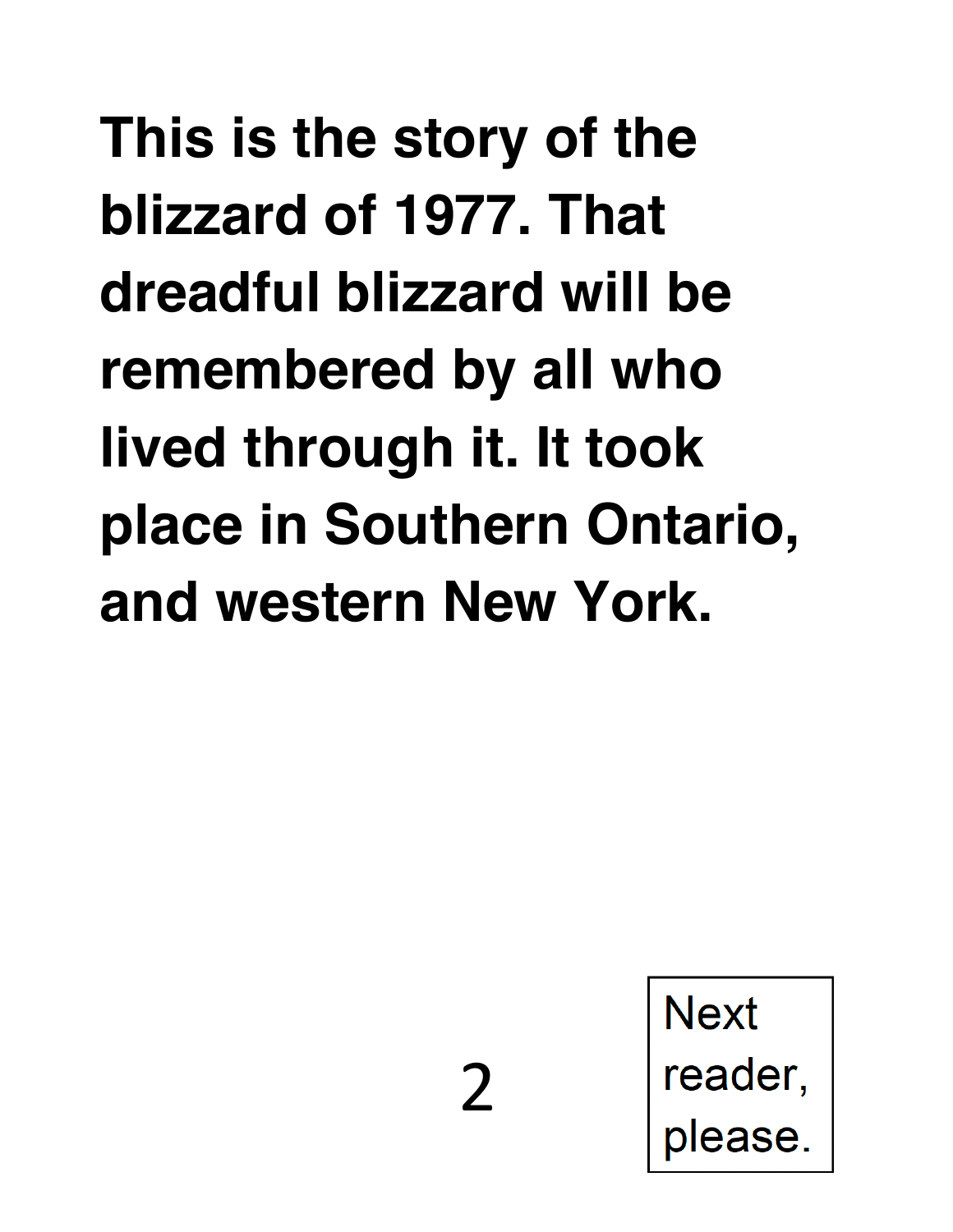**This is the story of the blizzard of 1977. That dreadful blizzard will be remembered by all who lived through it. It took place in Southern Ontario, and western New York.**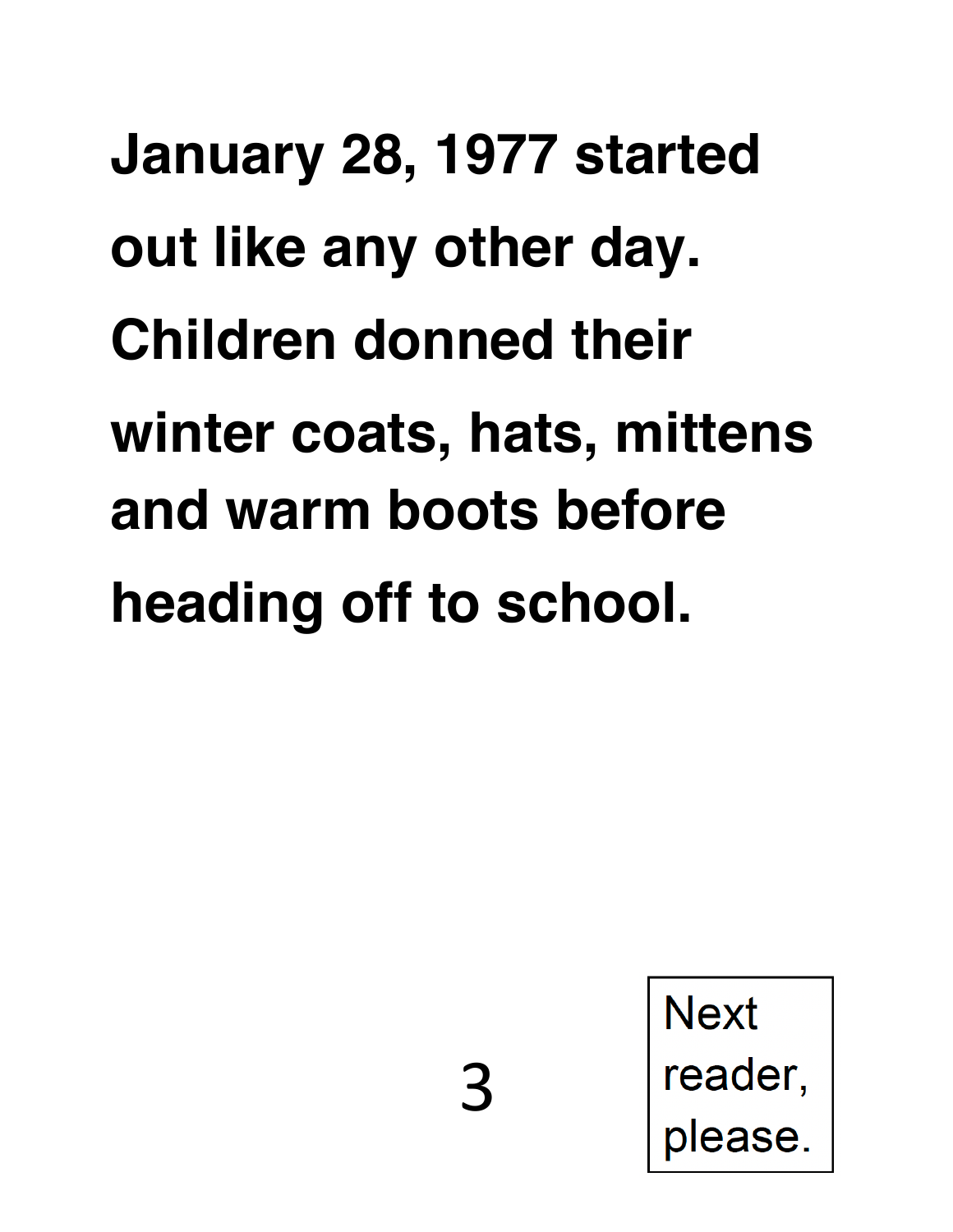**January 28, 1977 started out like any other day. Children donned their winter coats, hats, mittens and warm boots before heading off to school.** 

**Next** 

reader,

please.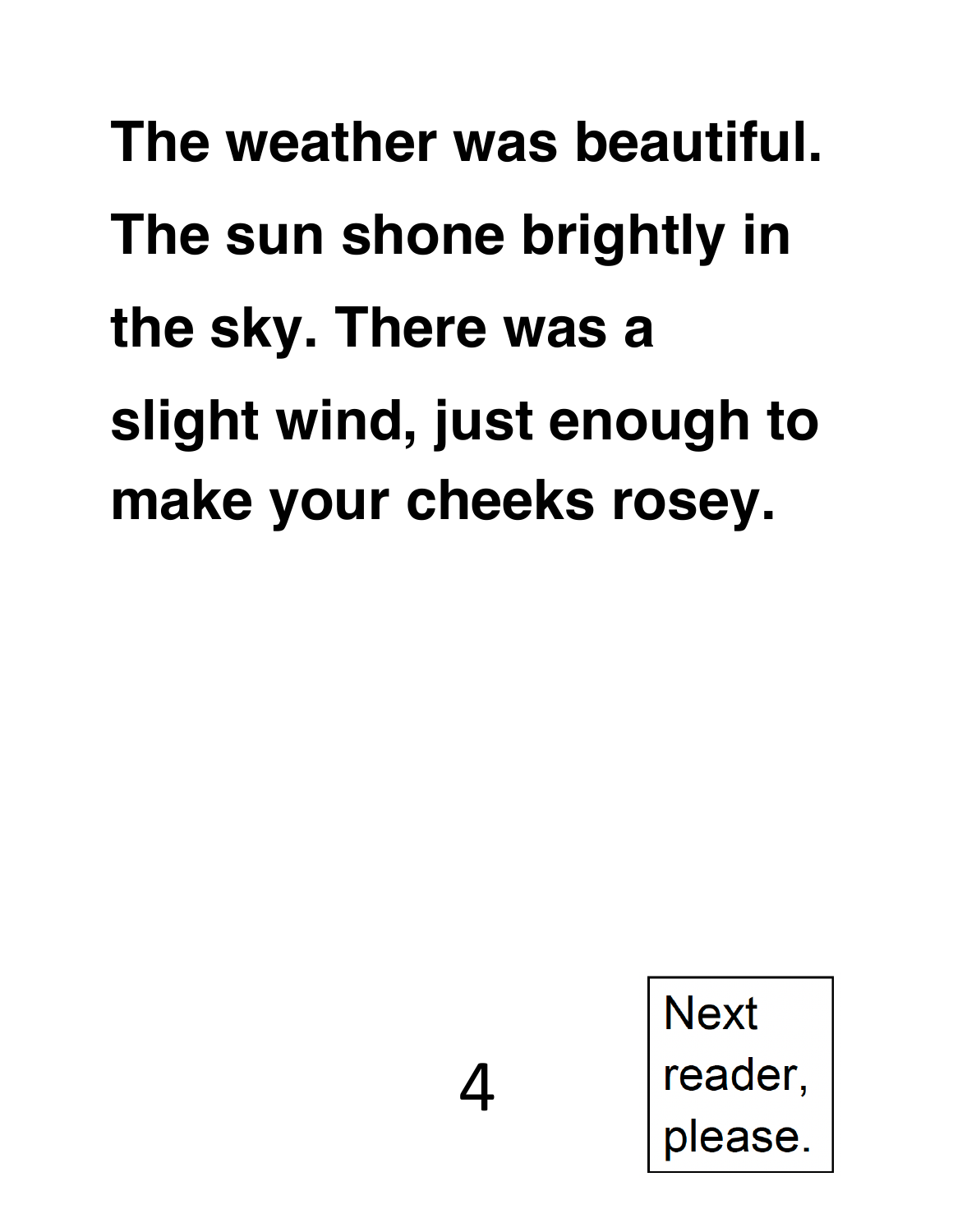## **The weather was beautiful. The sun shone brightly in the sky. There was a slight wind, just enough to make your cheeks rosey.**

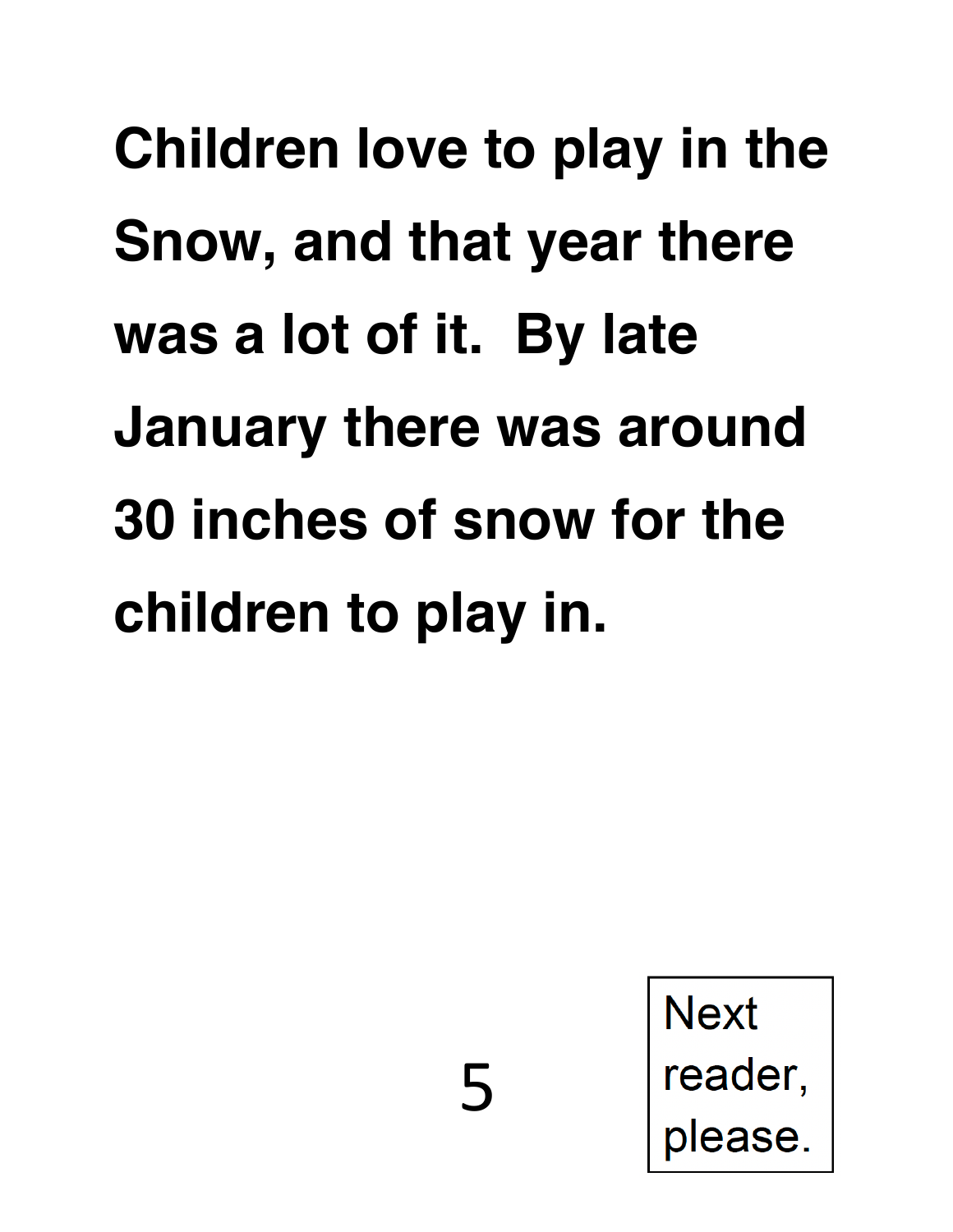# **Children love to play in the Snow, and that year there was a lot of it. By late January there was around 30 inches of snow for the children to play in.**

5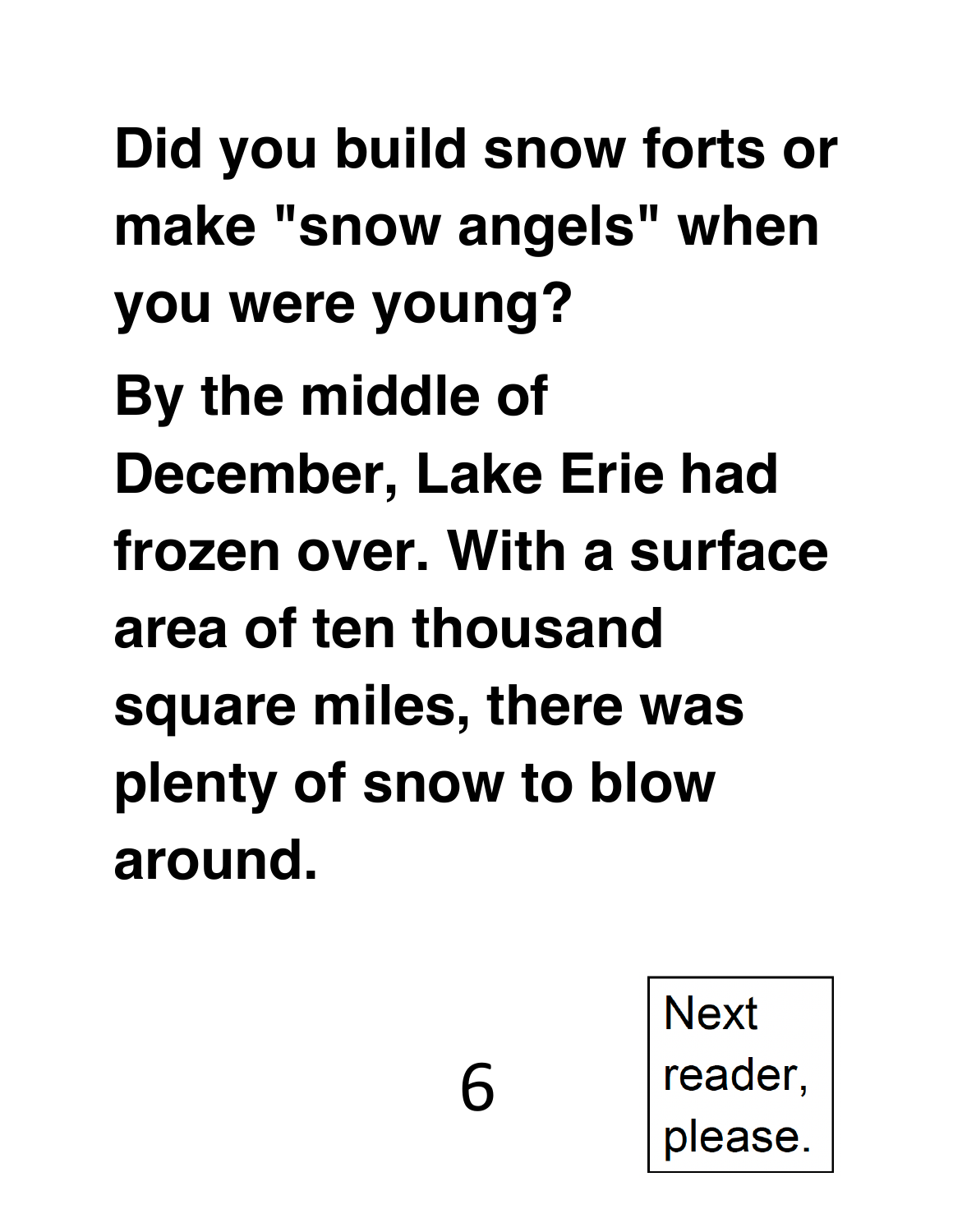**Did you build snow forts or make "snow angels" when you were young?**

**By the middle of December, Lake Erie had frozen over. With a surface area of ten thousand square miles, there was plenty of snow to blow around.** 

6

**Next** 

reader,

please.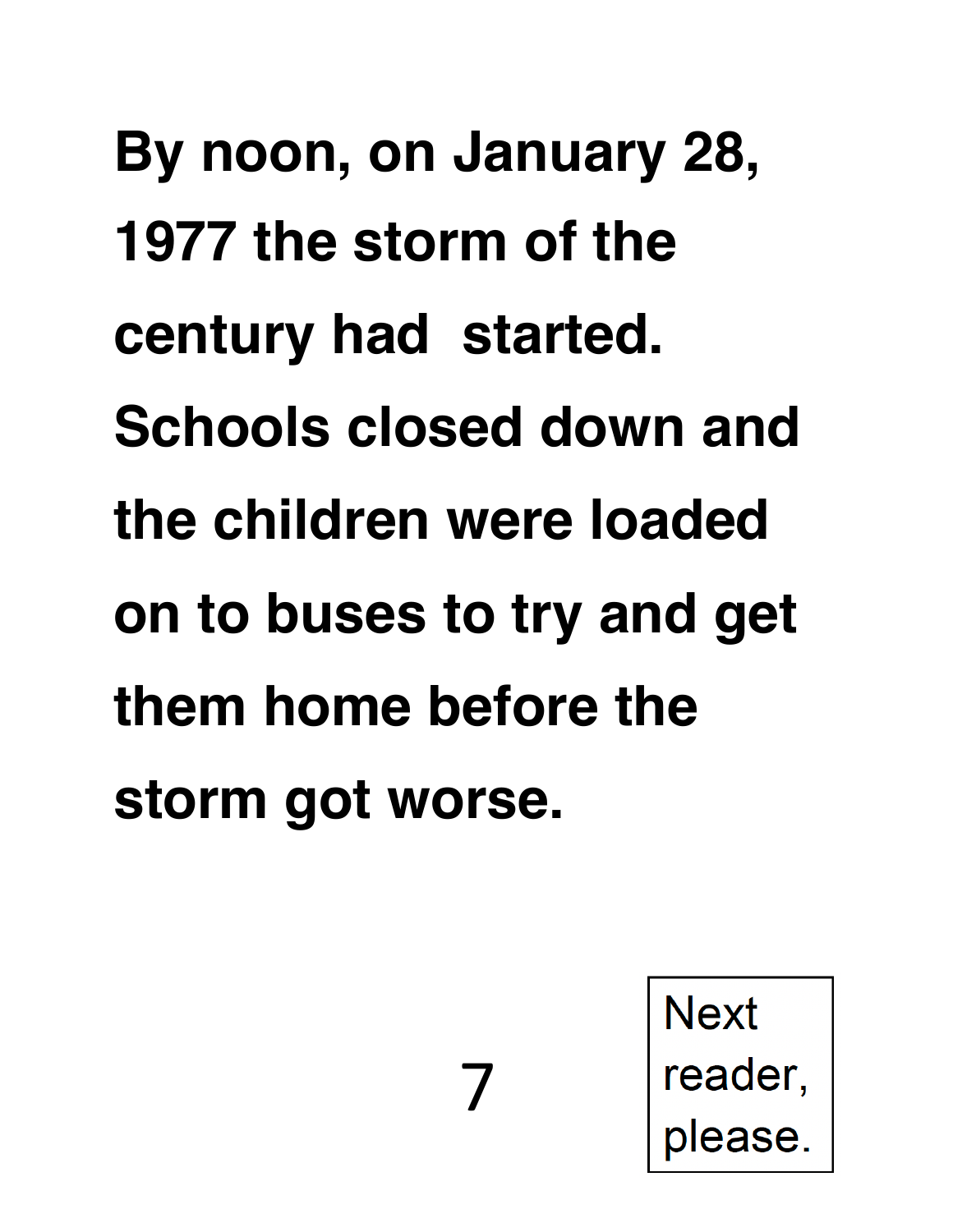**By noon, on January 28, 1977 the storm of the century had started. Schools closed down and the children were loaded on to buses to try and get them home before the storm got worse.** 

7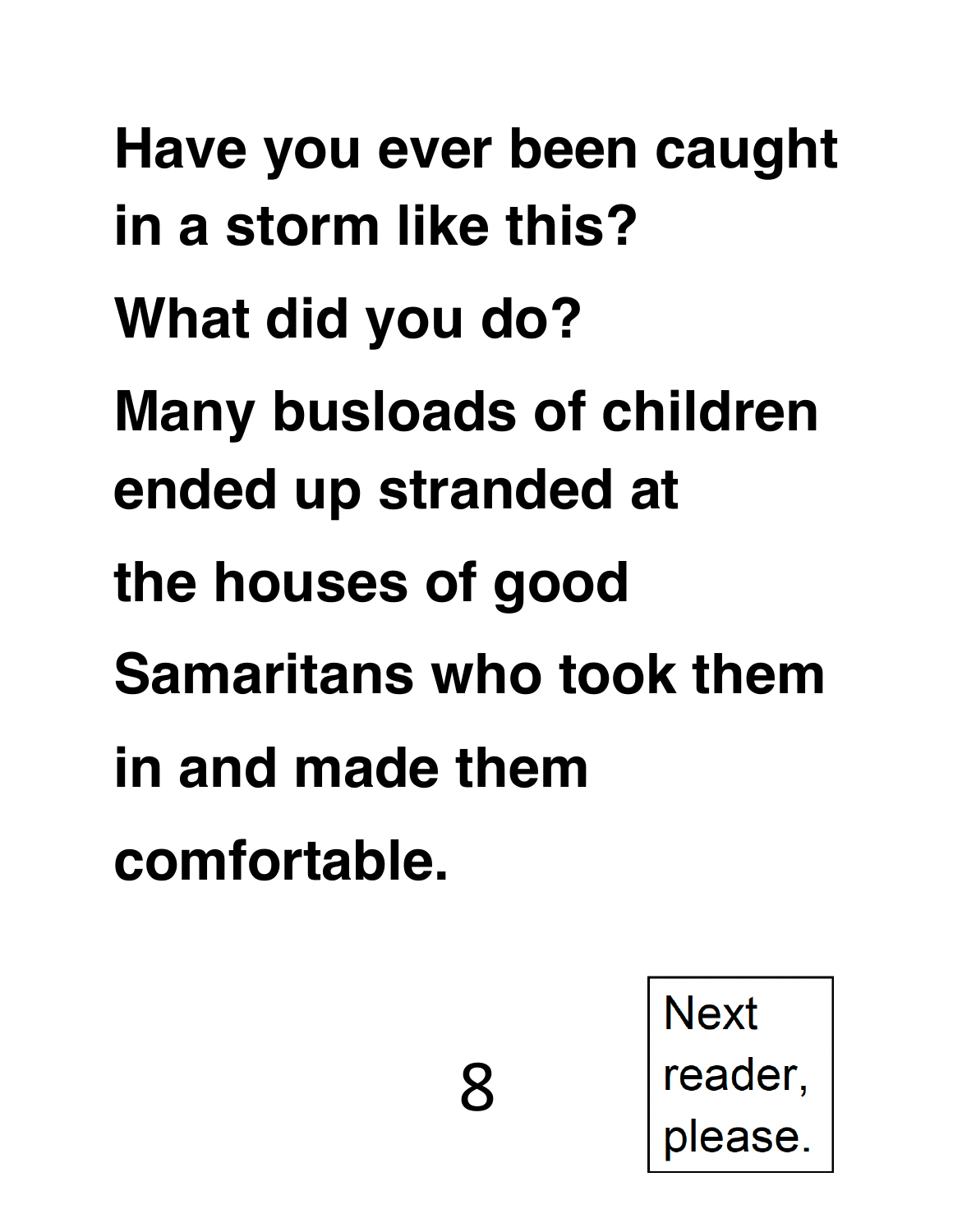**Have you ever been caught in a storm like this? What did you do? Many busloads of children ended up stranded at the houses of good Samaritans who took them in and made them comfortable.** 

8

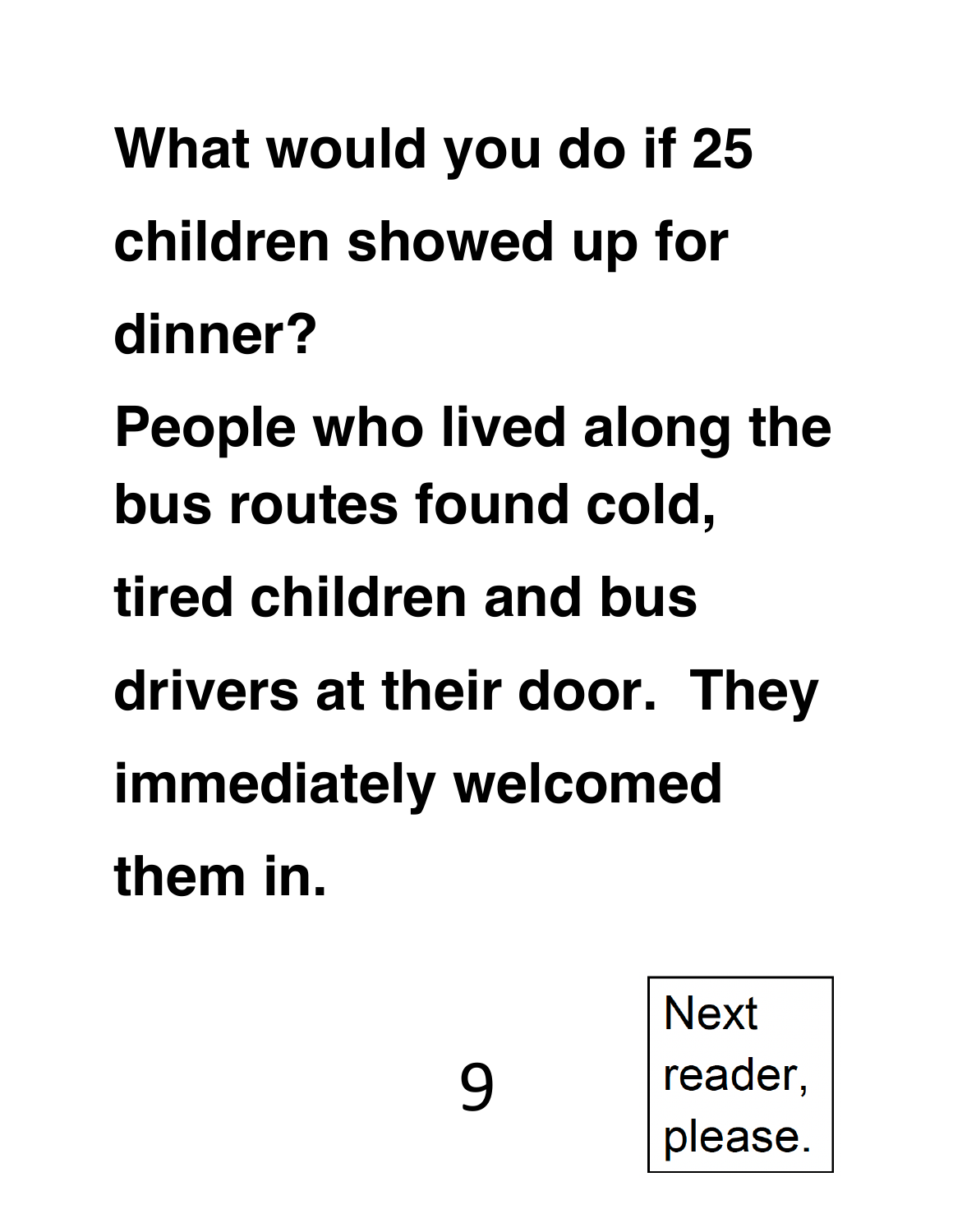**What would you do if 25 children showed up for dinner?** 

**People who lived along the bus routes found cold,** 

**tired children and bus** 

**drivers at their door. They** 

9

**immediately welcomed** 

**them in.**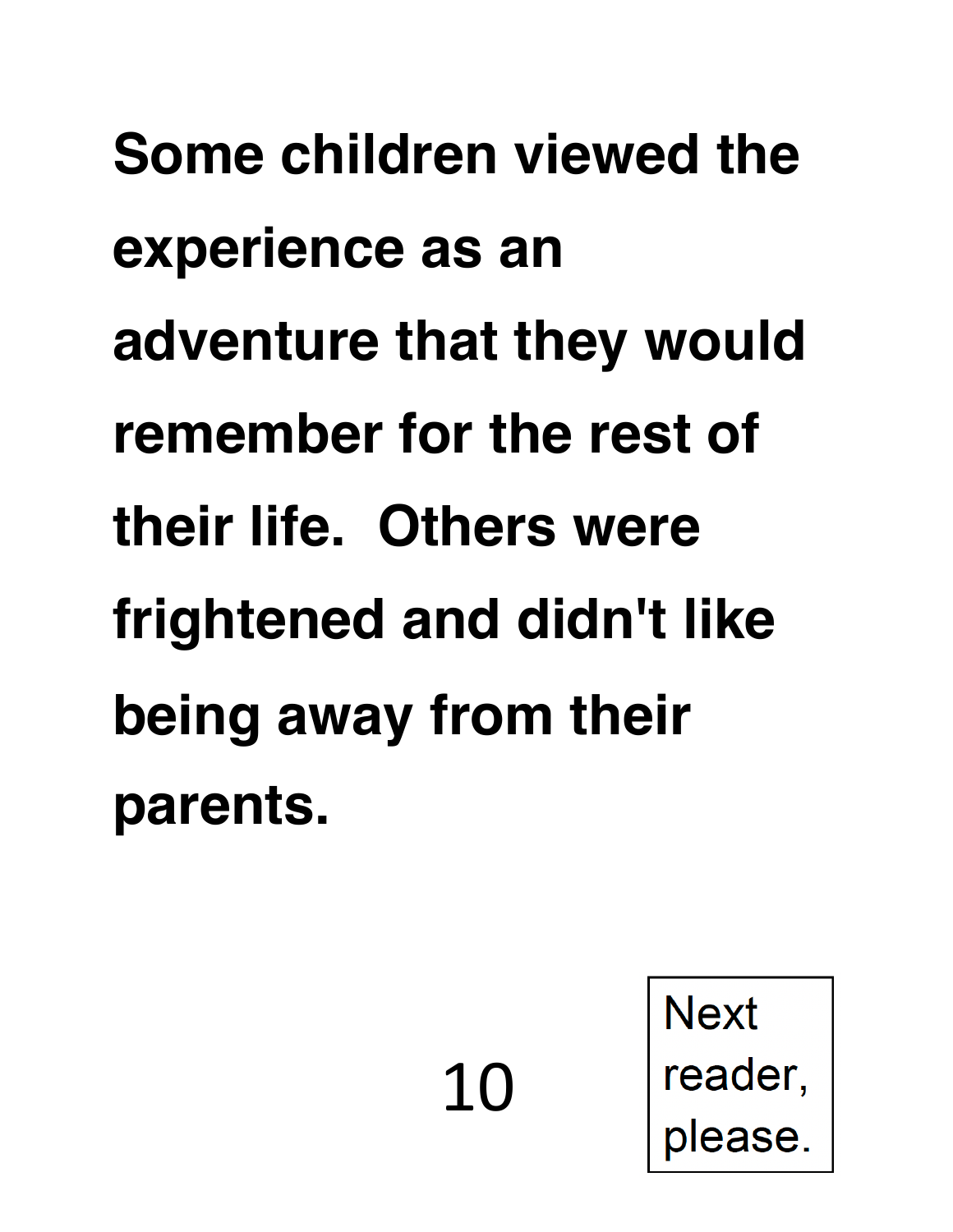**Some children viewed the experience as an adventure that they would remember for the rest of their life. Others were frightened and didn't like being away from their parents.** 

10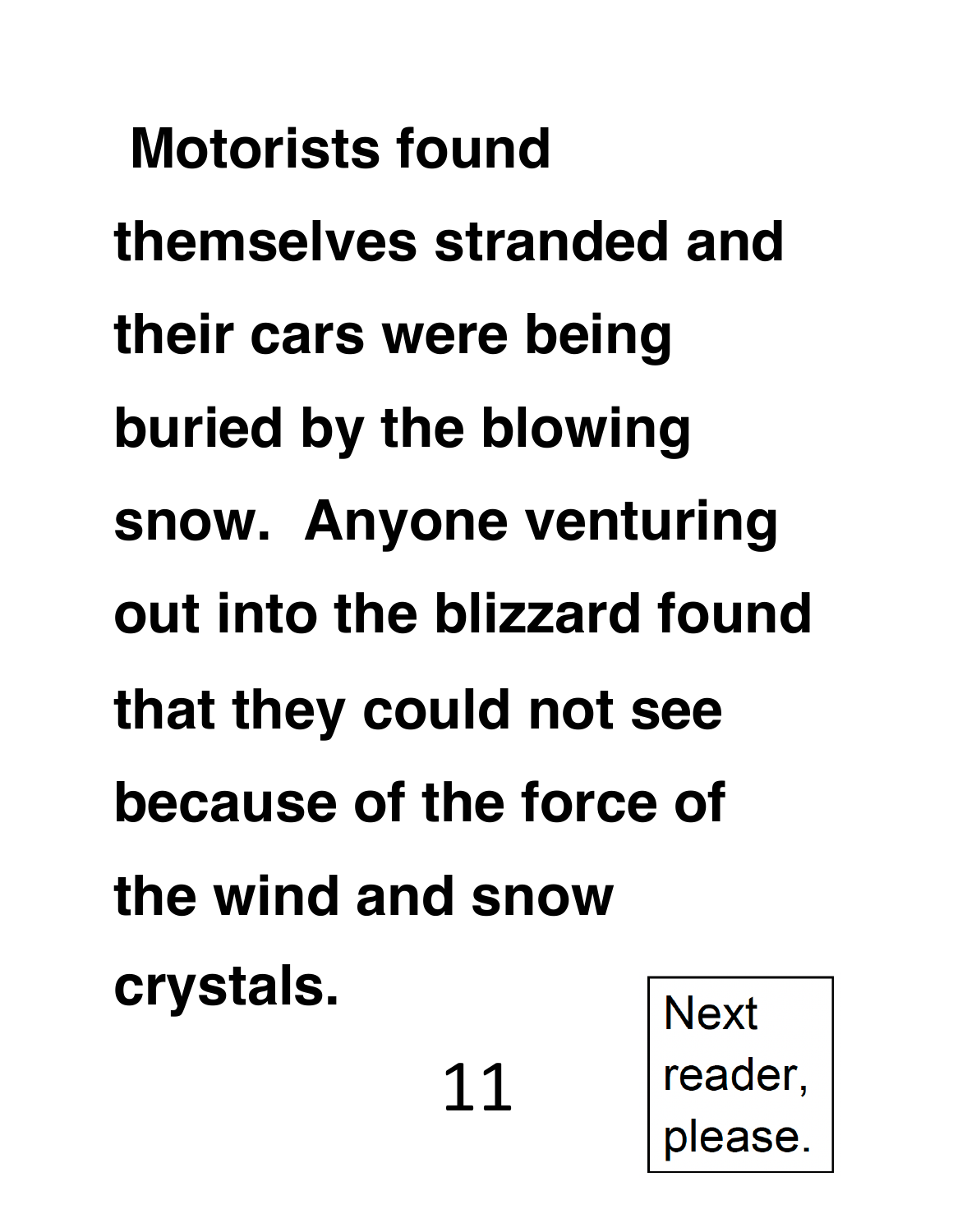**Motorists found themselves stranded and their cars were being buried by the blowing snow. Anyone venturing out into the blizzard found that they could not see because of the force of the wind and snow crystals. Next** 

11

reader,

please.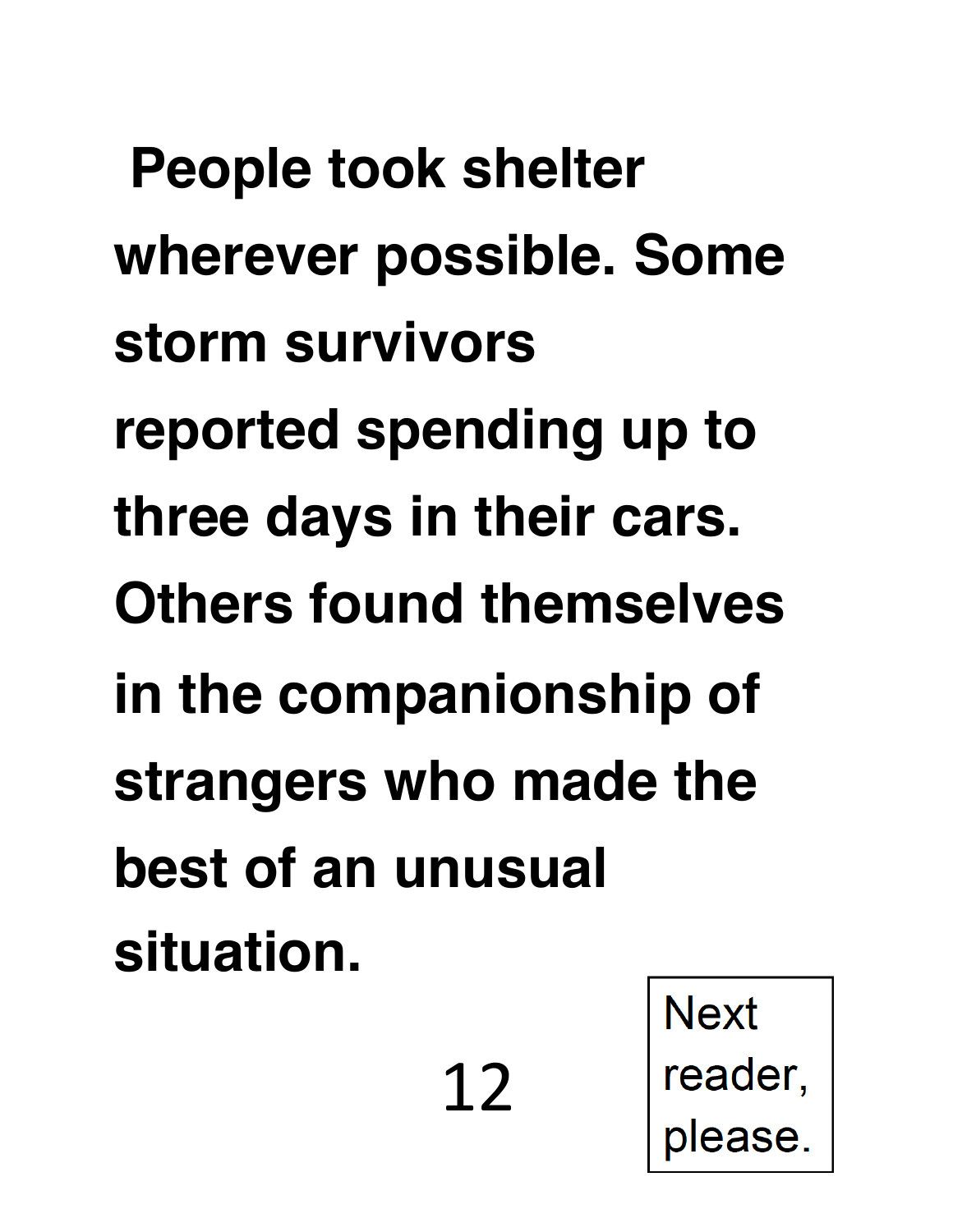**People took shelter wherever possible. Some storm survivors reported spending up to three days in their cars. Others found themselves in the companionship of strangers who made the best of an unusual situation.** 

12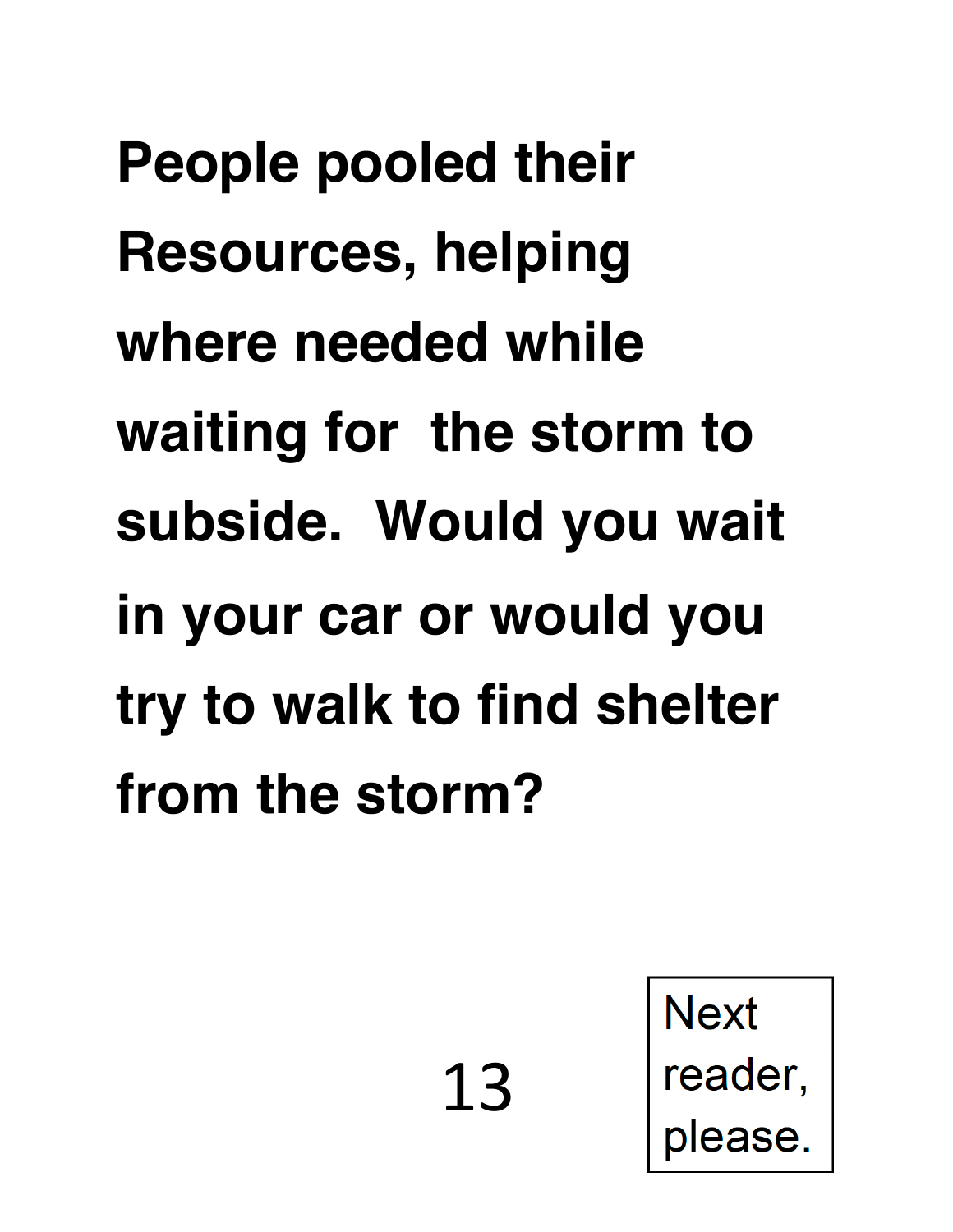**People pooled their Resources, helping where needed while waiting for the storm to subside. Would you wait in your car or would you try to walk to find shelter from the storm?** 

**Next** 

reader,

please.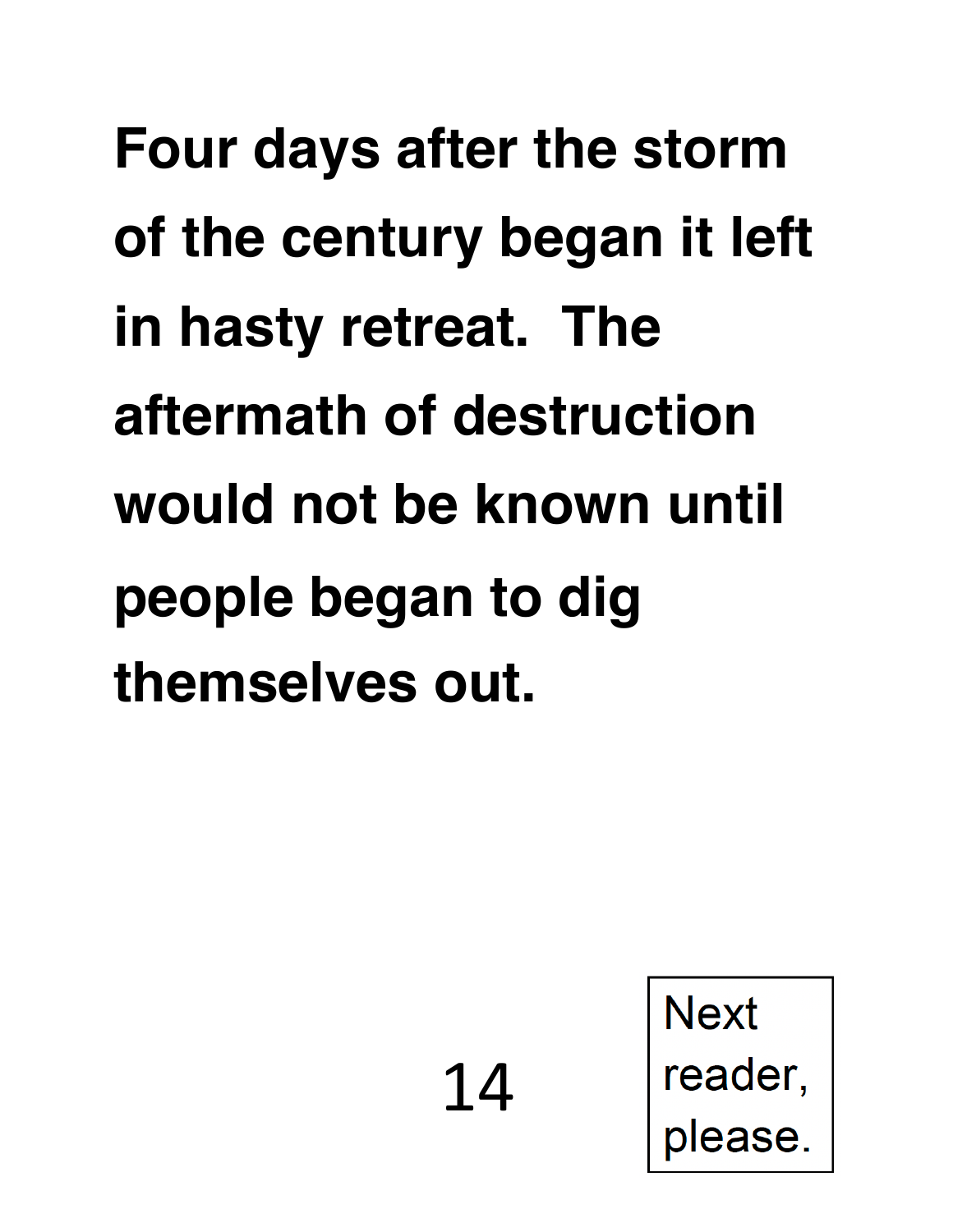**Four days after the storm of the century began it left in hasty retreat. The aftermath of destruction would not be known until people began to dig themselves out.** 

14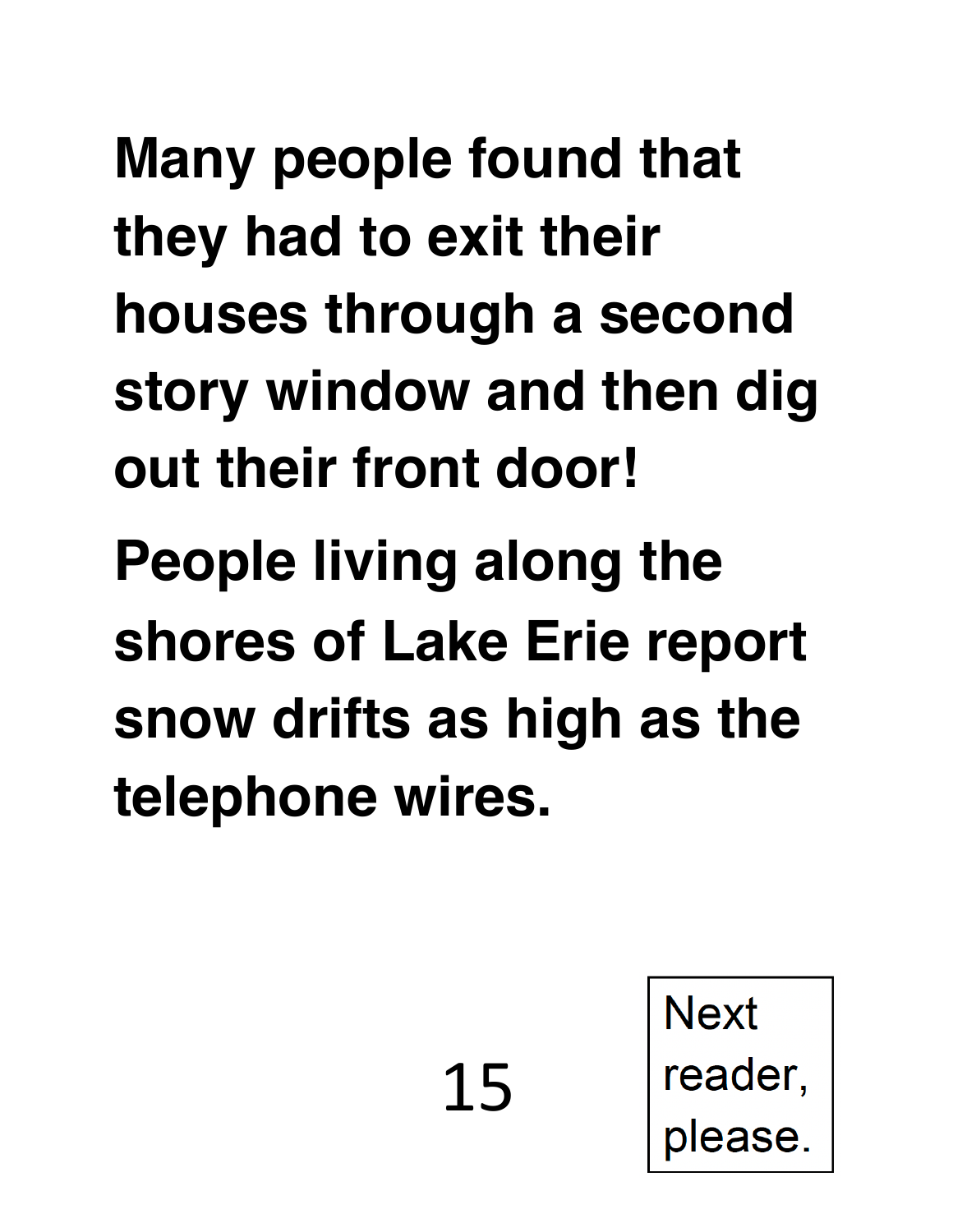**Many people found that they had to exit their houses through a second story window and then dig out their front door! People living along the shores of Lake Erie report snow drifts as high as the telephone wires.** 

15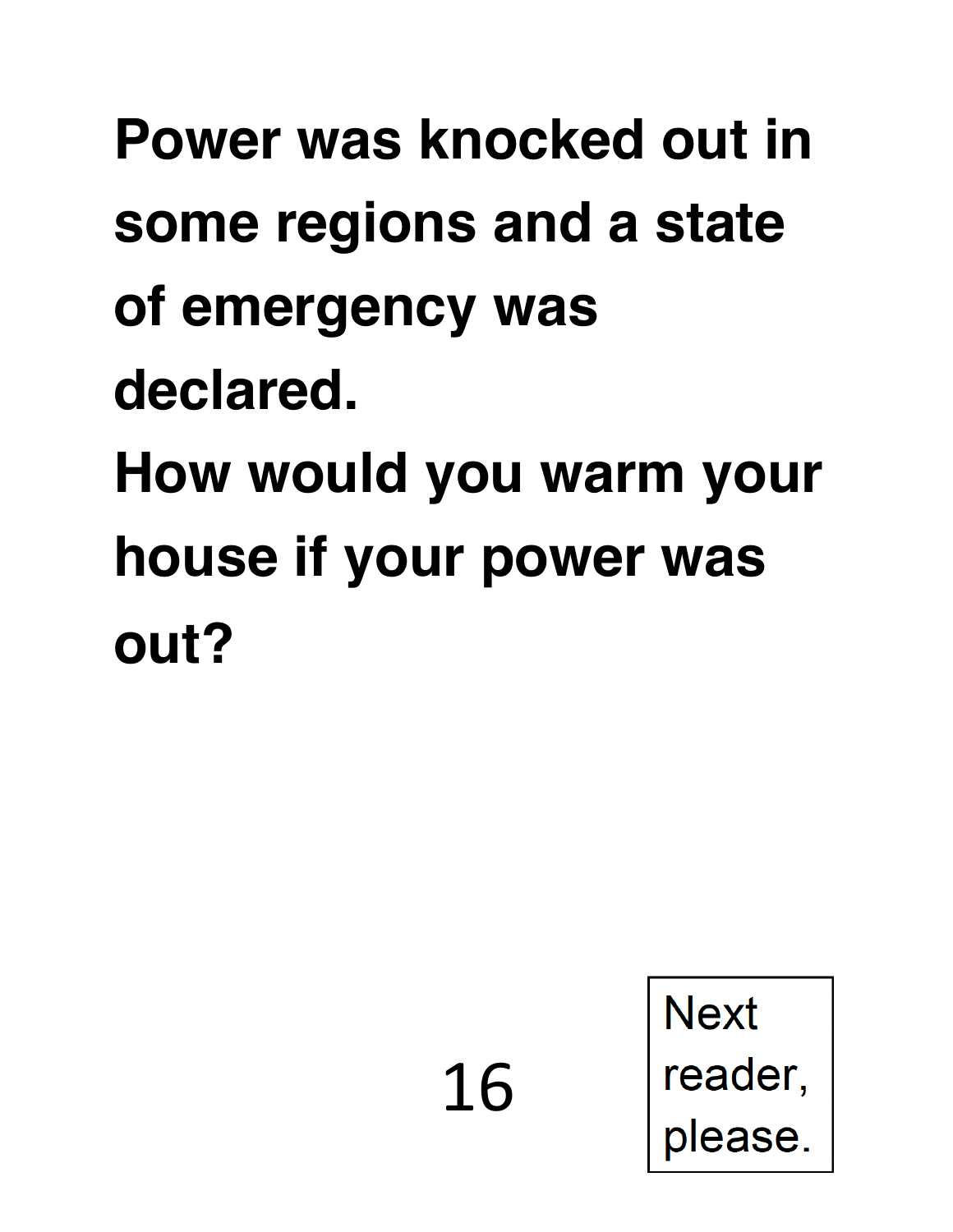### **Power was knocked out in some regions and a state of emergency was declared. How would you warm your house if your power was out?**

16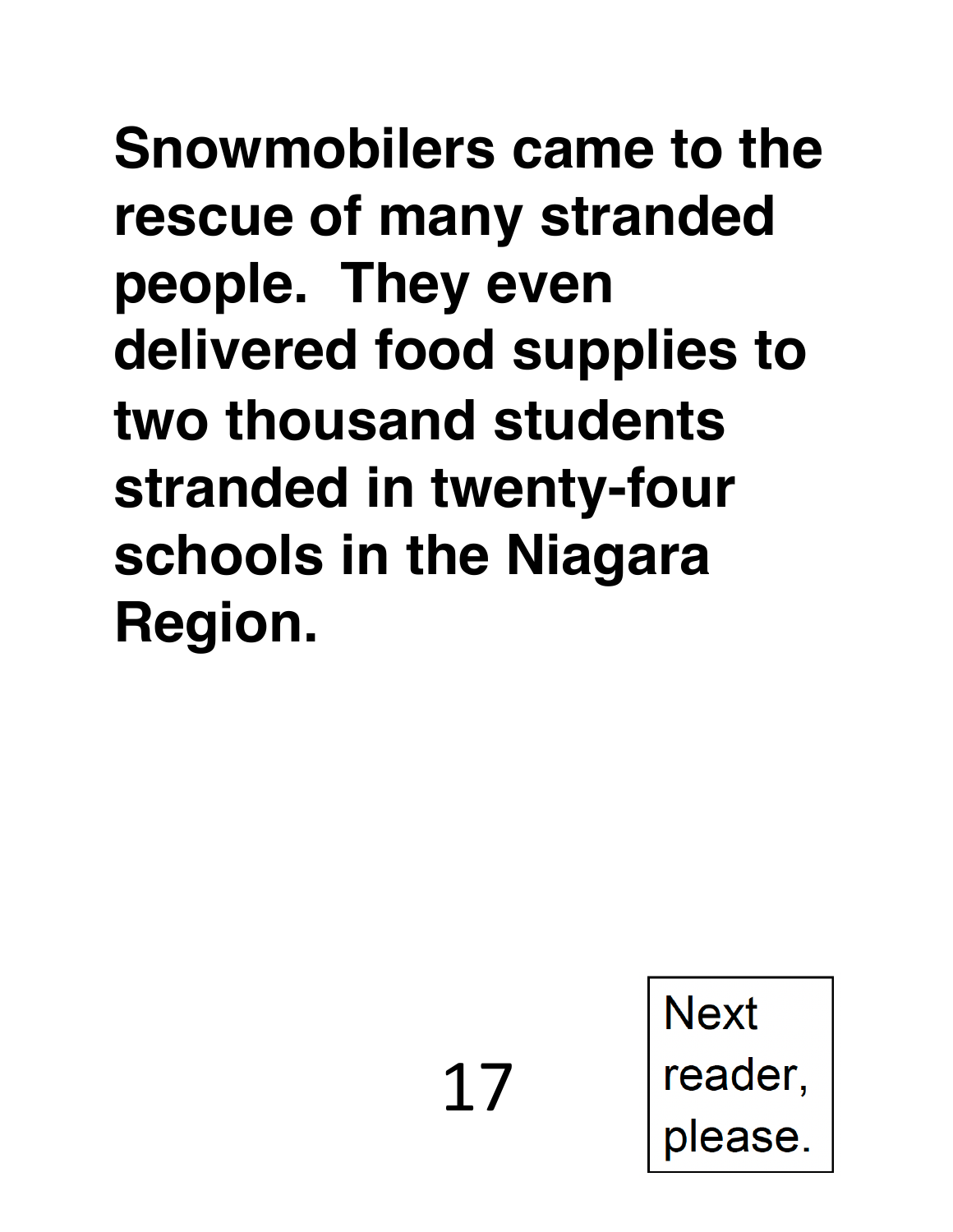**Snowmobilers came to the rescue of many stranded people. They even delivered food supplies to two thousand students stranded in twenty-four schools in the Niagara Region.** 

17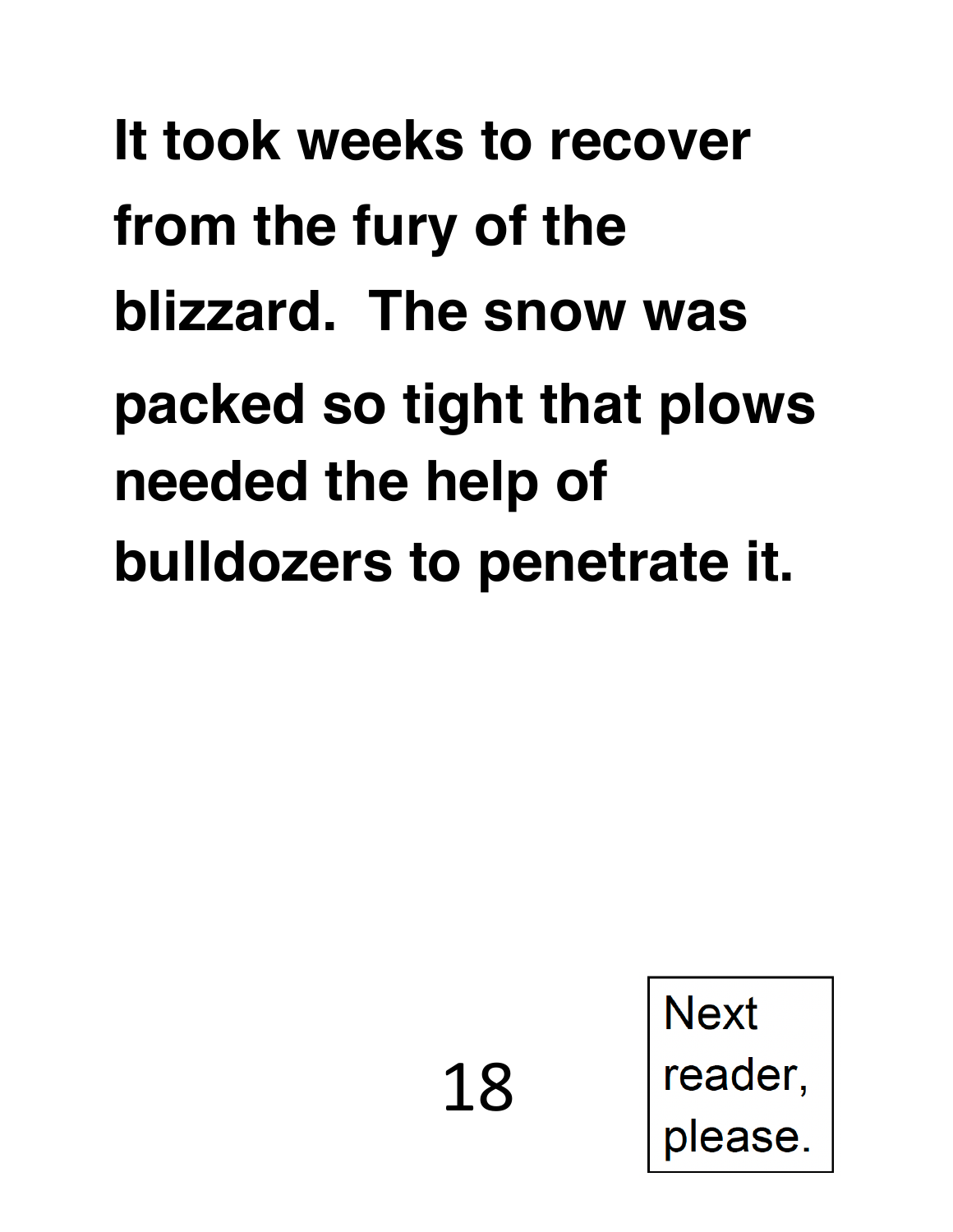### **It took weeks to recover from the fury of the blizzard. The snow was packed so tight that plows needed the help of bulldozers to penetrate it.**

18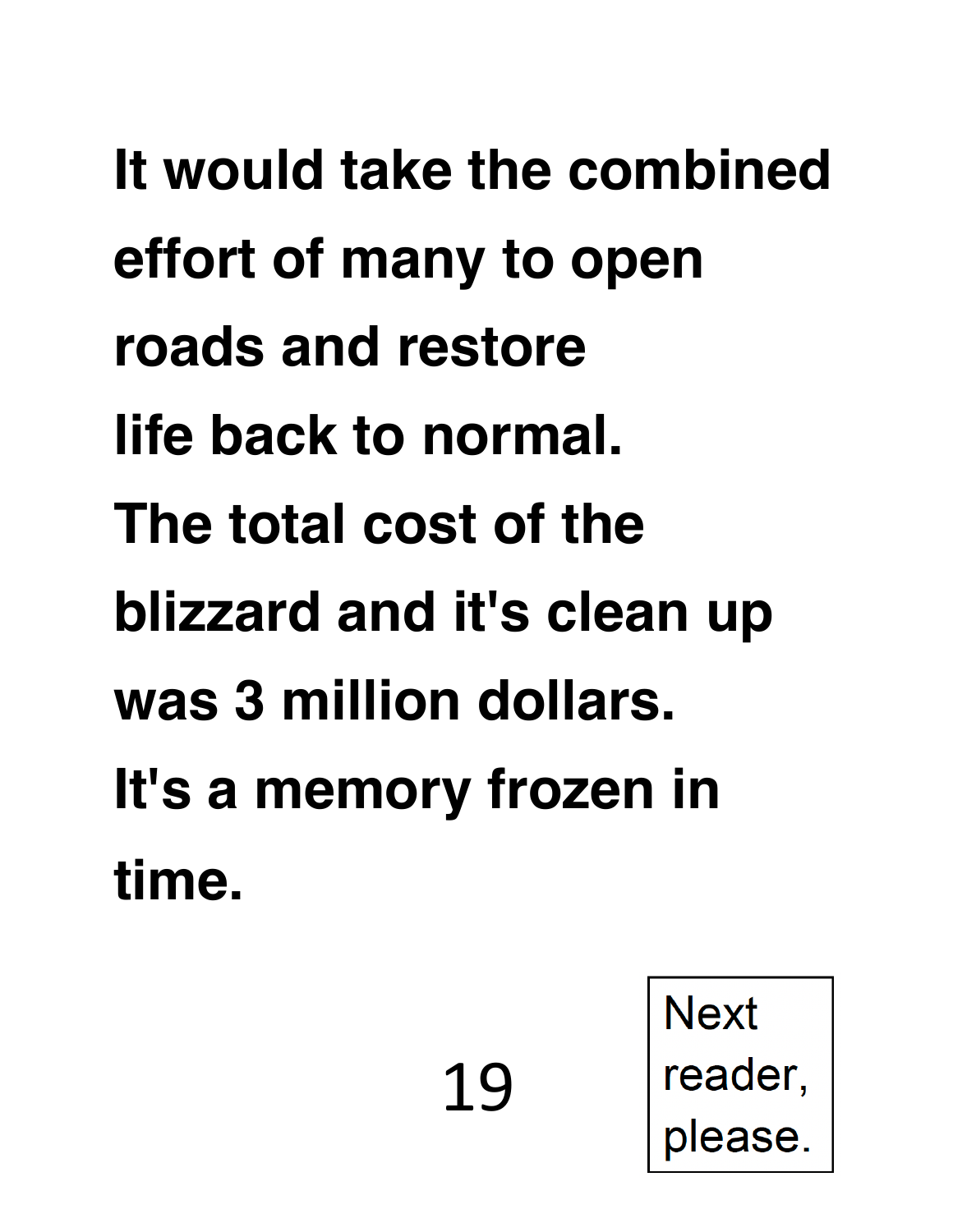**It would take the combined effort of many to open roads and restore life back to normal. The total cost of the blizzard and it's clean up was 3 million dollars. It's a memory frozen in time.** 

19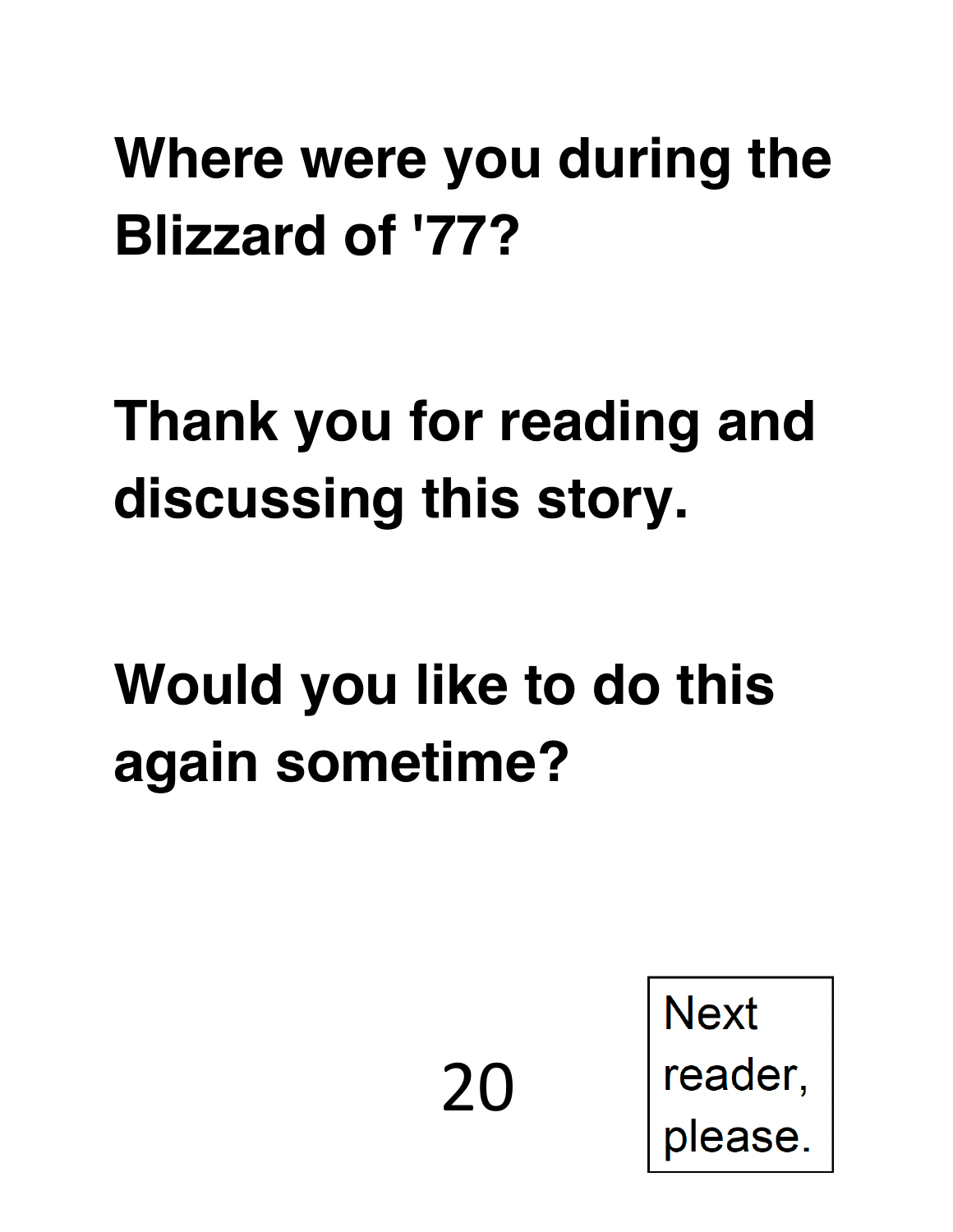#### **Where were you during the Blizzard of '77?**

#### **Thank you for reading and discussing this story.**

#### **Would you like to do this again sometime?**

20